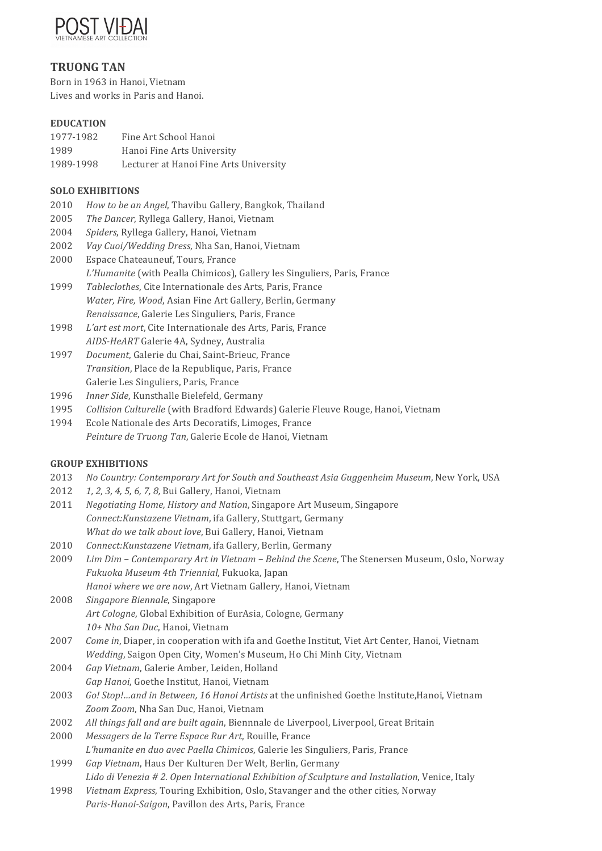

## **TRUONG TAN**

Born in 1963 in Hanoi, Vietnam Lives and works in Paris and Hanoi.

## **EDUCATION**

| 1977-1982 | Fine Art School Hanoi                  |
|-----------|----------------------------------------|
| 1989      | Hanoi Fine Arts University             |
| 1989-1998 | Lecturer at Hanoi Fine Arts University |

## **SOLO EXHIBITIONS**

- 2010 *How to be an Angel*, Thavibu Gallery, Bangkok, Thailand
- 2005 *The Dancer*, Ryllega Gallery, Hanoi, Vietnam
- 2004 Spiders, Ryllega Gallery, Hanoi, Vietnam
- 2002 *Vay Cuoi/Wedding Dress*, Nha San, Hanoi, Vietnam
- 2000 Espace Chateauneuf, Tours, France *L'Humanite* (with Pealla Chimicos), Gallery les Singuliers, Paris, France
- 1999 *Tableclothes*, Cite Internationale des Arts, Paris, France *Water, Fire, Wood, Asian Fine Art Gallery, Berlin, Germany Renaissance*, Galerie Les Singuliers, Paris, France
- 1998 L'art est mort, Cite Internationale des Arts, Paris, France *AIDS-HeART* Galerie 4A, Sydney, Australia
- 1997 *Document*, Galerie du Chai, Saint-Brieuc, France *Transition*, Place de la Republique, Paris, France Galerie Les Singuliers, Paris, France
- 1996 *Inner Side*, Kunsthalle Bielefeld, Germany
- 1995 Collision Culturelle (with Bradford Edwards) Galerie Fleuve Rouge, Hanoi, Vietnam
- 1994 Ecole Nationale des Arts Decoratifs, Limoges, France Peinture de Truong Tan, Galerie Ecole de Hanoi, Vietnam

## **GROUP EXHIBITIONS**

- 2013 No Country: Contemporary Art for South and Southeast Asia Guggenheim Museum, New York, USA
- 2012 *1, 2, 3, 4, 5, 6, 7, 8,* Bui Gallery, Hanoi, Vietnam
- 2011 Negotiating Home, History and Nation, Singapore Art Museum, Singapore *Connect:Kunstazene Vietnam*, ifa Gallery, Stuttgart, Germany *What do we talk about love*, Bui Gallery, Hanoi, Vietnam
- 2010 Connect: Kunstazene Vietnam, ifa Gallery, Berlin, Germany
- 2009 *Lim Dim Contemporary Art in Vietnam Behind the Scene*, The Stenersen Museum, Oslo, Norway *Fukuoka Museum 4th Triennial*, Fukuoka, Japan
	- *Hanoi where we are now, Art Vietnam Gallery, Hanoi, Vietnam*
- 2008 Singapore Biennale, Singapore Art Cologne, Global Exhibition of EurAsia, Cologne, Germany *10+ Nha San Duc*, Hanoi, Vietnam
- 2007 *Come in*, Diaper, in cooperation with ifa and Goethe Institut, Viet Art Center, Hanoi, Vietnam Wedding, Saigon Open City, Women's Museum, Ho Chi Minh City, Vietnam
- 2004 Gap Vietnam, Galerie Amber, Leiden, Holland Gap Hanoi, Goethe Institut, Hanoi, Vietnam
- 2003 *Go! Stop!...and in Between, 16 Hanoi Artists* at the unfinished Goethe Institute,Hanoi, Vietnam Zoom Zoom, Nha San Duc, Hanoi, Vietnam
- 2002 All things fall and are built again, Biennnale de Liverpool, Liverpool, Great Britain
- 2000 Messagers de la Terre Espace Rur Art, Rouille, France *L'humanite en duo avec Paella Chimicos*, Galerie les Singuliers, Paris, France
- 1999 Gap Vietnam, Haus Der Kulturen Der Welt, Berlin, Germany Lido di Venezia # 2. Open International Exhibition of Sculpture and Installation, Venice, Italy
- 1998 *Vietnam Express*, Touring Exhibition, Oslo, Stavanger and the other cities, Norway Paris-Hanoi-Saigon, Pavillon des Arts, Paris, France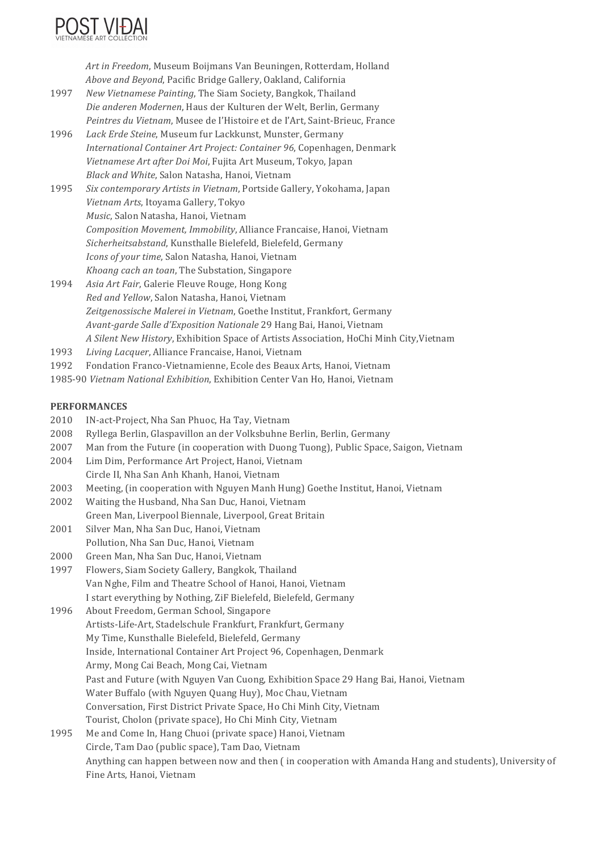

Art in Freedom, Museum Boijmans Van Beuningen, Rotterdam, Holland *Above and Beyond*, Pacific Bridge Gallery, Oakland, California

- 1997 New Vietnamese Painting, The Siam Society, Bangkok, Thailand *Die anderen Modernen*, Haus der Kulturen der Welt, Berlin, Germany *Peintres du Vietnam*, Musee de l'Histoire et de l'Art, Saint-Brieuc, France
- 1996 Lack Erde Steine, Museum fur Lackkunst, Munster, Germany *International Container Art Project: Container 96*, Copenhagen, Denmark *Vietnamese Art after Doi Moi*, Fujita Art Museum, Tokyo, Japan *Black and White*, Salon Natasha, Hanoi, Vietnam
- 1995 Six contemporary Artists in Vietnam, Portside Gallery, Yokohama, Japan *Vietnam Arts*, Itoyama Gallery, Tokyo *Music*, Salon Natasha, Hanoi, Vietnam *Composition Movement, Immobility*, Alliance Francaise, Hanoi, Vietnam *Sicherheitsabstand*, Kunsthalle Bielefeld, Bielefeld, Germany *Icons of your time*, Salon Natasha, Hanoi, Vietnam *Khoang cach an toan*, The Substation, Singapore
- 1994 *Asia Art Fair*, Galerie Fleuve Rouge, Hong Kong *Red and Yellow*, Salon Natasha, Hanoi, Vietnam Zeitgenossische Malerei in Vietnam, Goethe Institut, Frankfort, Germany *Avant-garde Salle d'Exposition Nationale* 29 Hang Bai, Hanoi, Vietnam *A Silent New History*, Exhibition Space of Artists Association, HoChi Minh City,Vietnam
- 1993 *Living Lacquer*, Alliance Francaise, Hanoi, Vietnam
- 1992 Fondation Franco-Vietnamienne, Ecole des Beaux Arts, Hanoi, Vietnam
- 1985-90 Vietnam National Exhibition, Exhibition Center Van Ho, Hanoi, Vietnam

#### **PERFORMANCES**

- 2010 IN-act-Project, Nha San Phuoc, Ha Tay, Vietnam
- 2008 Ryllega Berlin, Glaspavillon an der Volksbuhne Berlin, Berlin, Germany
- 2007 Man from the Future (in cooperation with Duong Tuong), Public Space, Saigon, Vietnam
- 2004 Lim Dim, Performance Art Project, Hanoi, Vietnam
- Circle II, Nha San Anh Khanh, Hanoi, Vietnam
- 2003 Meeting, (in cooperation with Nguyen Manh Hung) Goethe Institut, Hanoi, Vietnam
- 2002 Waiting the Husband, Nha San Duc, Hanoi, Vietnam
- Green Man, Liverpool Biennale, Liverpool, Great Britain
- 2001 Silver Man, Nha San Duc, Hanoi, Vietnam Pollution, Nha San Duc, Hanoi, Vietnam
- 2000 Green Man, Nha San Duc, Hanoi, Vietnam
- 1997 Flowers, Siam Society Gallery, Bangkok, Thailand Van Nghe, Film and Theatre School of Hanoi, Hanoi, Vietnam I start everything by Nothing, ZiF Bielefeld, Bielefeld, Germany
- 1996 About Freedom, German School, Singapore Artists-Life-Art, Stadelschule Frankfurt, Frankfurt, Germany My Time, Kunsthalle Bielefeld, Bielefeld, Germany Inside, International Container Art Project 96, Copenhagen, Denmark Army, Mong Cai Beach, Mong Cai, Vietnam Past and Future (with Nguyen Van Cuong, Exhibition Space 29 Hang Bai, Hanoi, Vietnam Water Buffalo (with Nguyen Quang Huy), Moc Chau, Vietnam Conversation, First District Private Space, Ho Chi Minh City, Vietnam Tourist, Cholon (private space), Ho Chi Minh City, Vietnam
- 1995 Me and Come In, Hang Chuoi (private space) Hanoi, Vietnam Circle, Tam Dao (public space), Tam Dao, Vietnam Anything can happen between now and then (in cooperation with Amanda Hang and students), University of Fine Arts, Hanoi, Vietnam